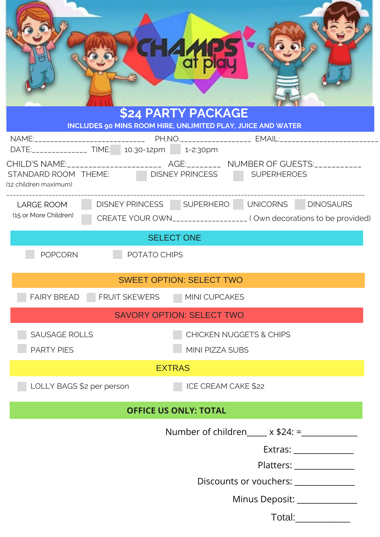|                                                               | di pl<br><b>\$24 PARTY PACKAGE</b><br>INCLUDES 90 MINS ROOM HIRE, UNLIMITED PLAY, JUICE AND WATER                   |  |  |
|---------------------------------------------------------------|---------------------------------------------------------------------------------------------------------------------|--|--|
|                                                               |                                                                                                                     |  |  |
| STANDARD ROOM THEME: DISNEY PRINCESS<br>(12 children maximum) | CHILD'S NAME:________________________ AGE:_________ NUMBER OF GUESTS:___________<br><b>SUPERHEROES</b>              |  |  |
| <b>LARGE ROOM</b><br>(15 or More Children)                    | DISNEY PRINCESS SUPERHERO UNICORNS DINOSAURS<br>CREATE YOUR OWN___________________ (Own decorations to be provided) |  |  |
| <b>SELECT ONE</b>                                             |                                                                                                                     |  |  |
| <b>POPCORN</b><br>POTATO CHIPS                                |                                                                                                                     |  |  |
| <b>SWEET OPTION: SELECT TWO</b>                               |                                                                                                                     |  |  |
| FAIRY BREAD FRUIT SKEWERS                                     | MINI CUPCAKES                                                                                                       |  |  |
| <b>SAVORY OPTION: SELECT TWO</b>                              |                                                                                                                     |  |  |
| <b>SAUSAGE ROLLS</b><br><b>PARTY PIES</b>                     | <b>CHICKEN NUGGETS &amp; CHIPS</b><br>MINI PIZZA SUBS                                                               |  |  |
| <b>EXTRAS</b>                                                 |                                                                                                                     |  |  |
| LOLLY BAGS \$2 per person                                     | ICE CREAM CAKE \$22                                                                                                 |  |  |
| <b>OFFICE US ONLY: TOTAL</b>                                  |                                                                                                                     |  |  |
|                                                               | Number of children $x $24 :=$                                                                                       |  |  |
|                                                               |                                                                                                                     |  |  |
| Platters: _______________                                     |                                                                                                                     |  |  |
| Discounts or vouchers: _____________                          |                                                                                                                     |  |  |
| Minus Deposit: ______________                                 |                                                                                                                     |  |  |
| Total:                                                        |                                                                                                                     |  |  |